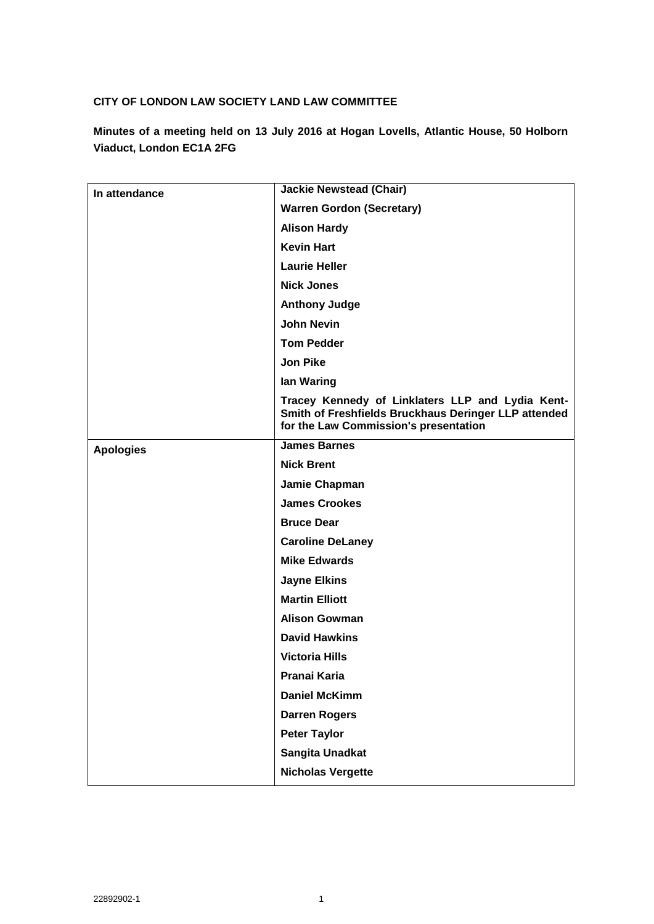### **CITY OF LONDON LAW SOCIETY LAND LAW COMMITTEE**

**Minutes of a meeting held on 13 July 2016 at Hogan Lovells, Atlantic House, 50 Holborn Viaduct, London EC1A 2FG**

| In attendance    | <b>Jackie Newstead (Chair)</b>                                                                                                                    |
|------------------|---------------------------------------------------------------------------------------------------------------------------------------------------|
|                  | <b>Warren Gordon (Secretary)</b>                                                                                                                  |
|                  | <b>Alison Hardy</b>                                                                                                                               |
|                  | <b>Kevin Hart</b>                                                                                                                                 |
|                  | <b>Laurie Heller</b>                                                                                                                              |
|                  | <b>Nick Jones</b>                                                                                                                                 |
|                  | <b>Anthony Judge</b>                                                                                                                              |
|                  | <b>John Nevin</b>                                                                                                                                 |
|                  | <b>Tom Pedder</b>                                                                                                                                 |
|                  | <b>Jon Pike</b>                                                                                                                                   |
|                  | lan Waring                                                                                                                                        |
|                  | Tracey Kennedy of Linklaters LLP and Lydia Kent-<br>Smith of Freshfields Bruckhaus Deringer LLP attended<br>for the Law Commission's presentation |
| <b>Apologies</b> | <b>James Barnes</b>                                                                                                                               |
|                  | <b>Nick Brent</b>                                                                                                                                 |
|                  | Jamie Chapman                                                                                                                                     |
|                  | <b>James Crookes</b>                                                                                                                              |
|                  | <b>Bruce Dear</b>                                                                                                                                 |
|                  | <b>Caroline DeLaney</b>                                                                                                                           |
|                  | <b>Mike Edwards</b>                                                                                                                               |
|                  | <b>Jayne Elkins</b>                                                                                                                               |
|                  | <b>Martin Elliott</b>                                                                                                                             |
|                  | <b>Alison Gowman</b>                                                                                                                              |
|                  | <b>David Hawkins</b>                                                                                                                              |
|                  | <b>Victoria Hills</b>                                                                                                                             |
|                  | Pranai Karia                                                                                                                                      |
|                  | <b>Daniel McKimm</b>                                                                                                                              |
|                  | <b>Darren Rogers</b>                                                                                                                              |
|                  | <b>Peter Taylor</b>                                                                                                                               |
|                  | Sangita Unadkat                                                                                                                                   |
|                  | <b>Nicholas Vergette</b>                                                                                                                          |